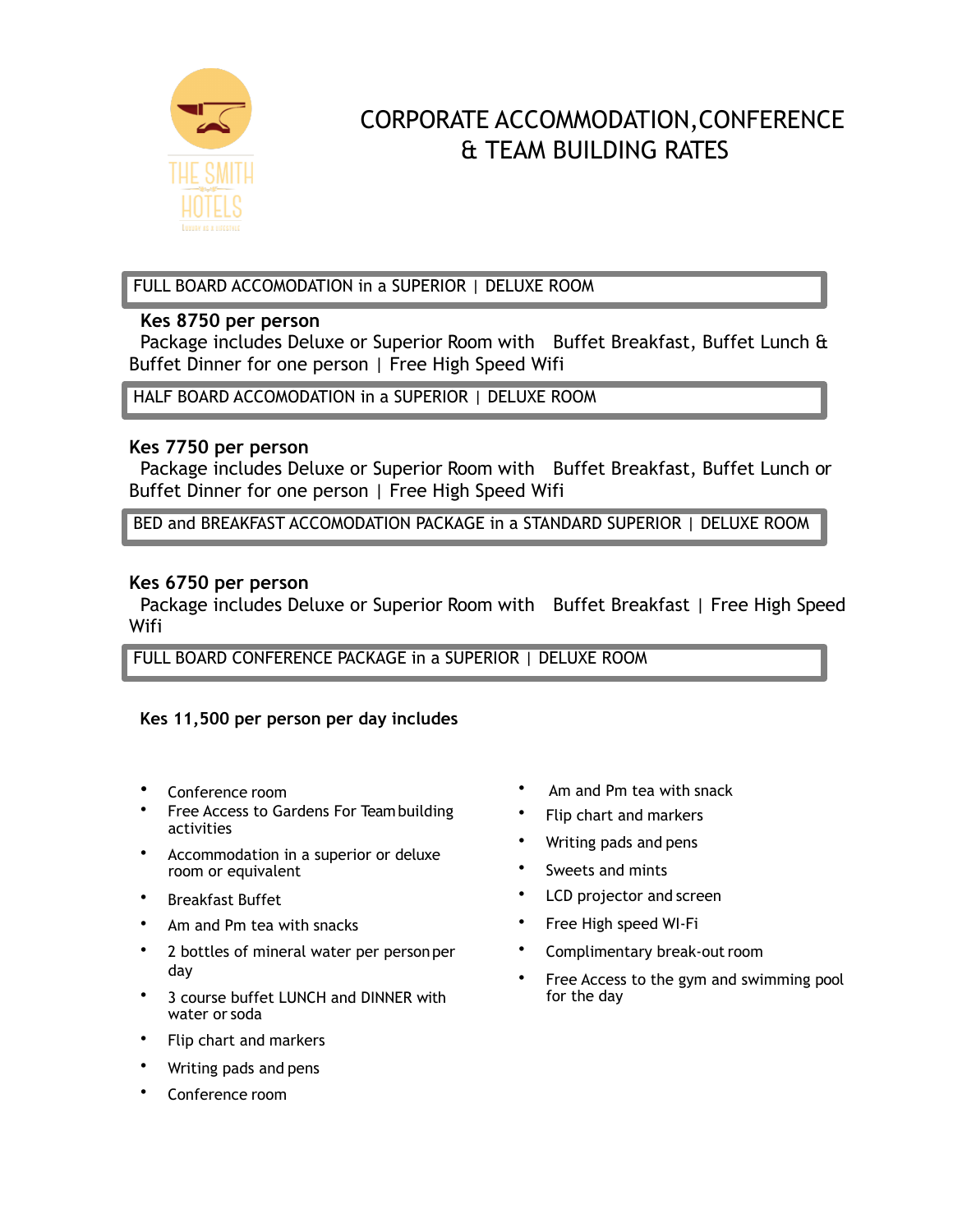

# CORPORATE ACCOMMODATION,CONFERENCE & TEAM BUILDING RATES

FULL BOARD ACCOMODATION in a SUPERIOR | DELUXE ROOM

## **Kes 8750 per person**

Package includes Deluxe or Superior Room with Buffet Breakfast, Buffet Lunch & Buffet Dinner for one person | Free High Speed Wifi

HALF BOARD ACCOMODATION in a SUPERIOR | DELUXE ROOM

## **Kes 7750 per person**

Package includes Deluxe or Superior Room with Buffet Breakfast, Buffet Lunch or Buffet Dinner for one person | Free High Speed Wifi

BED and BREAKFAST ACCOMODATION PACKAGE in a STANDARD SUPERIOR | DELUXE ROOM

# **Kes 6750 per person**

Package includes Deluxe or Superior Room with Buffet Breakfast | Free High Speed Wifi

FULL BOARD CONFERENCE PACKAGE in a SUPERIOR | DELUXE ROOM

## **Kes 11,500 per person per day includes**

- Conference room
- Free Access to Gardens For Teambuilding activities
- Accommodation in a superior or deluxe room or equivalent
- Breakfast Buffet
- Am and Pm tea with snacks
- 2 bottles of mineral water per personper day
- 3 course buffet LUNCH and DINNER with water or soda
- Flip chart and markers
- Writing pads and pens
- Conference room
- Am and Pm tea with snack
- Flip chart and markers
- Writing pads and pens
- Sweets and mints
- LCD projector and screen
- Free High speed WI-Fi
- Complimentary break-out room
- Free Access to the gym and swimming pool for the day